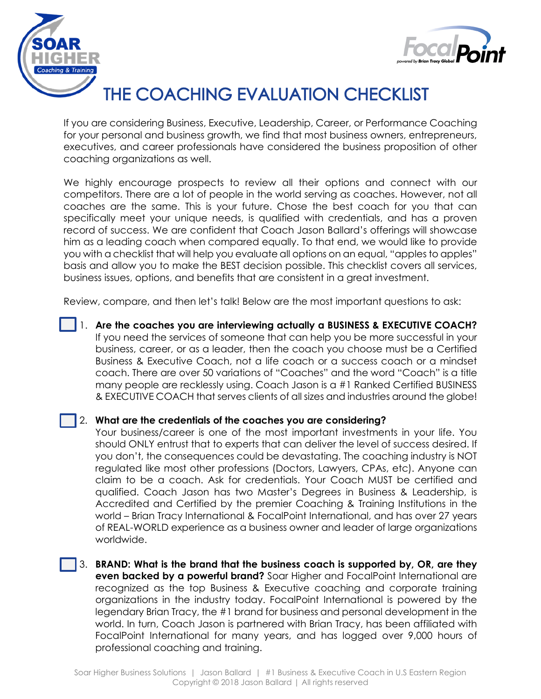



## THE COACHING EVALUATION CHECKLIST

If you are considering Business, Executive, Leadership, Career, or Performance Coaching for your personal and business growth, we find that most business owners, entrepreneurs, executives, and career professionals have considered the business proposition of other coaching organizations as well.

We highly encourage prospects to review all their options and connect with our competitors. There are a lot of people in the world serving as coaches. However, not all coaches are the same. This is your future. Chose the best coach for you that can specifically meet your unique needs, is qualified with credentials, and has a proven record of success. We are confident that Coach Jason Ballard's offerings will showcase him as a leading coach when compared equally. To that end, we would like to provide you with a checklist that will help you evaluate all options on an equal, "apples to apples" basis and allow you to make the BEST decision possible. This checklist covers all services, business issues, options, and benefits that are consistent in a great investment.

Review, compare, and then let's talk! Below are the most important questions to ask:

1. **Are the coaches you are interviewing actually a BUSINESS & EXECUTIVE COACH?**  If you need the services of someone that can help you be more successful in your business, career, or as a leader, then the coach you choose must be a Certified Business & Executive Coach, not a life coach or a success coach or a mindset coach. There are over 50 variations of "Coaches" and the word "Coach" is a title many people are recklessly using. Coach Jason is a #1 Ranked Certified BUSINESS & EXECUTIVE COACH that serves clients of all sizes and industries around the globe!

## 2. **What are the credentials of the coaches you are considering?**

Your business/career is one of the most important investments in your life. You should ONLY entrust that to experts that can deliver the level of success desired. If you don't, the consequences could be devastating. The coaching industry is NOT regulated like most other professions (Doctors, Lawyers, CPAs, etc). Anyone can claim to be a coach. Ask for credentials. Your Coach MUST be certified and qualified. Coach Jason has two Master's Degrees in Business & Leadership, is Accredited and Certified by the premier Coaching & Training Institutions in the world – Brian Tracy International & FocalPoint International, and has over 27 years of REAL-WORLD experience as a business owner and leader of large organizations worldwide.

3. **BRAND: What is the brand that the business coach is supported by, OR, are they even backed by a powerful brand?** Soar Higher and FocalPoint International are recognized as the top Business & Executive coaching and corporate training organizations in the industry today. FocalPoint International is powered by the legendary Brian Tracy, the #1 brand for business and personal development in the world. In turn, Coach Jason is partnered with Brian Tracy, has been affiliated with FocalPoint International for many years, and has logged over 9,000 hours of professional coaching and training.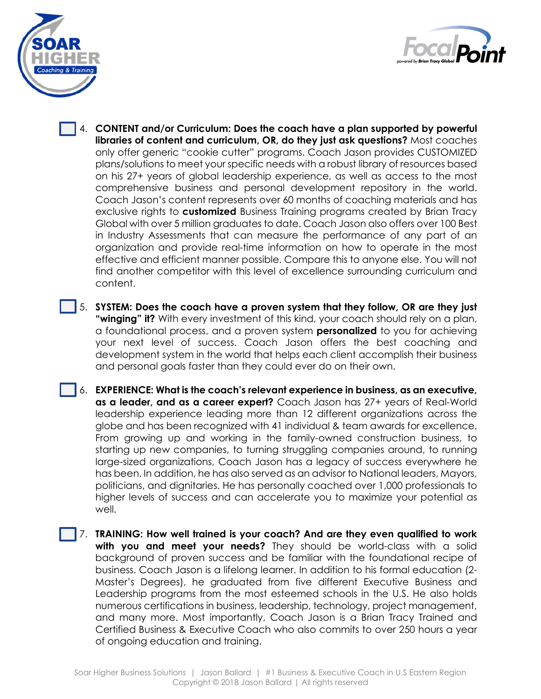



- 4. **CONTENT and/or Curriculum: Does the coach have a plan supported by powerful libraries of content and curriculum, OR, do they just ask questions?** Most coaches only offer generic "cookie cutter" programs. Coach Jason provides CUSTOMIZED plans/solutions to meet your specific needs with a robust library of resources based on his 27+ years of global leadership experience, as well as access to the most comprehensive business and personal development repository in the world. Coach Jason's content represents over 60 months of coaching materials and has exclusive rights to **customized** Business Training programs created by Brian Tracy Global with over 5 million graduates to date. Coach Jason also offers over 100 Best in Industry Assessments that can measure the performance of any part of an organization and provide real-time information on how to operate in the most effective and efficient manner possible. Compare this to anyone else. You will not find another competitor with this level of excellence surrounding curriculum and content.
- 5. **SYSTEM: Does the coach have a proven system that they follow, OR are they just "winging" it?** With every investment of this kind, your coach should rely on a plan, a foundational process, and a proven system **personalized** to you for achieving your next level of success. Coach Jason offers the best coaching and development system in the world that helps each client accomplish their business and personal goals faster than they could ever do on their own.
- 6. **EXPERIENCE: What is the coach's relevant experience in business, as an executive, as a leader, and as a career expert?** Coach Jason has 27+ years of Real-World leadership experience leading more than 12 different organizations across the globe and has been recognized with 41 individual & team awards for excellence. From growing up and working in the family-owned construction business, to starting up new companies, to turning struggling companies around, to running large-sized organizations, Coach Jason has a legacy of success everywhere he has been. In addition, he has also served as an advisor to National leaders, Mayors, politicians, and dignitaries. He has personally coached over 1,000 professionals to higher levels of success and can accelerate you to maximize your potential as well.
- 7. **TRAINING: How well trained is your coach? And are they even qualified to work with you and meet your needs?** They should be world-class with a solid background of proven success and be familiar with the foundational recipe of business. Coach Jason is a lifelong learner. In addition to his formal education (2- Master's Degrees), he graduated from five different Executive Business and Leadership programs from the most esteemed schools in the U.S. He also holds numerous certifications in business, leadership, technology, project management, and many more. Most importantly, Coach Jason is a Brian Tracy Trained and Certified Business & Executive Coach who also commits to over 250 hours a year of ongoing education and training.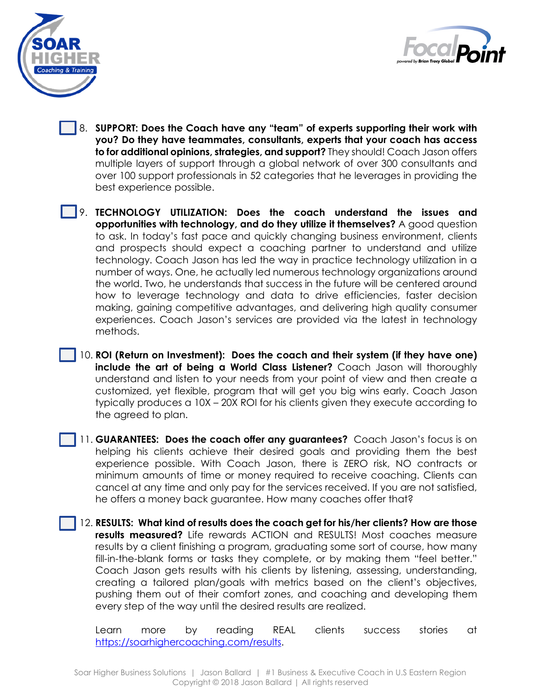



- 8. **SUPPORT: Does the Coach have any "team" of experts supporting their work with you? Do they have teammates, consultants, experts that your coach has access to for additional opinions, strategies, and support?** They should! Coach Jason offers multiple layers of support through a global network of over 300 consultants and over 100 support professionals in 52 categories that he leverages in providing the best experience possible.
- 9. **TECHNOLOGY UTILIZATION: Does the coach understand the issues and opportunities with technology, and do they utilize it themselves?** A good question to ask. In today's fast pace and quickly changing business environment, clients and prospects should expect a coaching partner to understand and utilize technology. Coach Jason has led the way in practice technology utilization in a number of ways. One, he actually led numerous technology organizations around the world. Two, he understands that success in the future will be centered around how to leverage technology and data to drive efficiencies, faster decision making, gaining competitive advantages, and delivering high quality consumer experiences. Coach Jason's services are provided via the latest in technology methods.
- 10. **ROI (Return on Investment): Does the coach and their system (if they have one) include the art of being a World Class Listener?** Coach Jason will thoroughly understand and listen to your needs from your point of view and then create a customized, yet flexible, program that will get you big wins early. Coach Jason typically produces a 10X – 20X ROI for his clients given they execute according to the agreed to plan.
- 11. **GUARANTEES: Does the coach offer any guarantees?** Coach Jason's focus is on helping his clients achieve their desired goals and providing them the best experience possible. With Coach Jason, there is ZERO risk, NO contracts or minimum amounts of time or money required to receive coaching. Clients can cancel at any time and only pay for the services received. If you are not satisfied, he offers a money back guarantee. How many coaches offer that?
- 12. **RESULTS: What kind of results does the coach get for his/her clients? How are those results measured?** Life rewards ACTION and RESULTS! Most coaches measure results by a client finishing a program, graduating some sort of course, how many fill-in-the-blank forms or tasks they complete, or by making them "feel better." Coach Jason gets results with his clients by listening, assessing, understanding, creating a tailored plan/goals with metrics based on the client's objectives, pushing them out of their comfort zones, and coaching and developing them every step of the way until the desired results are realized.

Learn more by reading REAL clients success stories at [https://soarhighercoaching.com/results.](https://soarhighercoaching.com/results)